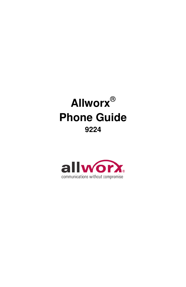

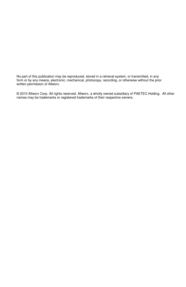No part of this publication may be reproduced, stored in a retrieval system, or transmitted, in any form or by any means, electronic, mechanical, photocopy, recording, or otherwise without the prior written permission of Allworx.

© 2010 Allworx Corp. All rights reserved. Allworx, a wholly owned subsidiary of PAETEC Holding. All other names may be trademarks or registered trademarks of their respective owners.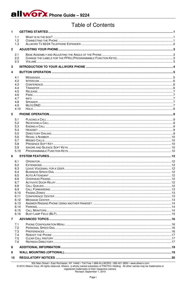allworx Phone Guide - 9224

# **Table of Contents**

| 1              |                                        |                                                                                                       |  |  |  |  |
|----------------|----------------------------------------|-------------------------------------------------------------------------------------------------------|--|--|--|--|
|                | 1.1                                    |                                                                                                       |  |  |  |  |
|                | 1.2                                    |                                                                                                       |  |  |  |  |
|                | 1.3                                    |                                                                                                       |  |  |  |  |
| $\overline{2}$ |                                        |                                                                                                       |  |  |  |  |
|                | 2.1                                    |                                                                                                       |  |  |  |  |
|                | 2.2                                    |                                                                                                       |  |  |  |  |
|                | 2.3                                    |                                                                                                       |  |  |  |  |
| 3              |                                        |                                                                                                       |  |  |  |  |
| 4              |                                        |                                                                                                       |  |  |  |  |
|                | 4.1                                    |                                                                                                       |  |  |  |  |
|                | 4.2<br>4.3<br>4.4<br>4.5<br>4.6<br>4.7 |                                                                                                       |  |  |  |  |
|                |                                        |                                                                                                       |  |  |  |  |
|                |                                        |                                                                                                       |  |  |  |  |
|                |                                        |                                                                                                       |  |  |  |  |
|                |                                        |                                                                                                       |  |  |  |  |
|                | 4.8                                    |                                                                                                       |  |  |  |  |
|                | 4.9                                    |                                                                                                       |  |  |  |  |
|                | 4.10                                   |                                                                                                       |  |  |  |  |
| 5              |                                        |                                                                                                       |  |  |  |  |
|                | 5.1                                    |                                                                                                       |  |  |  |  |
|                | 5.2                                    |                                                                                                       |  |  |  |  |
|                | 5.3                                    |                                                                                                       |  |  |  |  |
|                | 5.4<br>5.5                             |                                                                                                       |  |  |  |  |
|                | 5.6                                    |                                                                                                       |  |  |  |  |
|                | 5.7<br>5.8<br>5.9<br>5.10              |                                                                                                       |  |  |  |  |
|                |                                        |                                                                                                       |  |  |  |  |
|                |                                        |                                                                                                       |  |  |  |  |
| 6              |                                        |                                                                                                       |  |  |  |  |
|                |                                        |                                                                                                       |  |  |  |  |
|                | 6.1<br>6.2                             |                                                                                                       |  |  |  |  |
|                | 6.3                                    |                                                                                                       |  |  |  |  |
|                | 6.4                                    |                                                                                                       |  |  |  |  |
|                | 6.5                                    |                                                                                                       |  |  |  |  |
|                | 6.6                                    |                                                                                                       |  |  |  |  |
|                | 6.7<br>6.8                             |                                                                                                       |  |  |  |  |
|                | 6.9                                    |                                                                                                       |  |  |  |  |
|                | 6.10                                   |                                                                                                       |  |  |  |  |
|                | 6.11                                   |                                                                                                       |  |  |  |  |
|                | 6.12<br>6.13                           |                                                                                                       |  |  |  |  |
|                | 6.14                                   |                                                                                                       |  |  |  |  |
|                | 6.15                                   |                                                                                                       |  |  |  |  |
|                | 6.16                                   |                                                                                                       |  |  |  |  |
| $\overline{7}$ |                                        |                                                                                                       |  |  |  |  |
|                | 7.1<br>7.2<br>7.3<br>7.4               |                                                                                                       |  |  |  |  |
|                |                                        |                                                                                                       |  |  |  |  |
|                |                                        |                                                                                                       |  |  |  |  |
|                | 7.5                                    |                                                                                                       |  |  |  |  |
|                | 7.6                                    |                                                                                                       |  |  |  |  |
| 8              |                                        |                                                                                                       |  |  |  |  |
| 9              |                                        |                                                                                                       |  |  |  |  |
|                |                                        |                                                                                                       |  |  |  |  |
|                | 10                                     |                                                                                                       |  |  |  |  |
|                |                                        | 300 Main Street • East Rochester, NY 14445 • Toll Free 1-866-ALLWORX • 585-421-3850 • www.allworx.com |  |  |  |  |

@ 2010 Allworx Corp. All rights reserved. Allworx, a wholly owned subsidiary of PAETEC Holding. All other names may be trademarks or registered trademarks of their respective owners.<br>Revised: September 1, 2010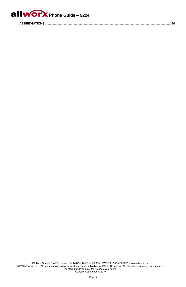

| $-1.4$ |  |  |
|--------|--|--|
|--------|--|--|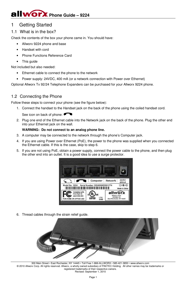## 1 Getting Started

## 1.1 What is in the box?

Check the contents of the box your phone came in. You should have:

- Allworx 9224 phone and base
- Handset with cord
- Phone Functions Reference Card
- This guide

Not included but also needed:

- Ethernet cable to connect the phone to the network
- Power supply: 24VDC, 400 mA (or a network connection with Power over Ethernet)

Optional Allworx Tx 92/24 Telephone Expanders can be purchased for your Allworx 9224 phone.

## 1.2 Connecting the Phone

Follow these steps to connect your phone (see the figure below):

1. Connect the handset to the Handset jack on the back of the phone using the coiled handset cord.

See icon on back of phone:

2. Plug one end of the Ethernet cable into the Network jack on the back of the phone. Plug the other end into your Ethernet jack on the wall.

#### **WARNING: Do not connect to an analog phone line.**

- 3. A computer may be connected to the network through the phone's Computer jack.
- 4. If you are using Power over Ethernet (PoE), the power to the phone was supplied when you connected the Ethernet cable. If this is the case, skip to step 6.
- 5. If you are not using PoE, obtain a power supply, connect the power cable to the phone, and then plug the other end into an outlet. It is a good idea to use a surge protector.



6. Thread cables through the strain relief guide.



300 Main Street • East Rochester, NY 14445 • Toll Free 1-866-ALLWORX • 585-421-3850 • www.allworx.com © 2010 Allworx Corp. All rights reserved. Allworx, a wholly owned subsidiary of PAETEC Holding. All other names may be trademarks or registered trademarks of their respective owners. Revised: September 1, 2010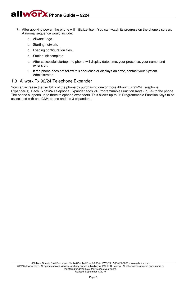- 7. After applying power, the phone will initialize itself. You can watch its progress on the phone's screen. A normal sequence would include:
	- a. Allworx Logo.
	- b. Starting network.
	- c. Loading configuration files.
	- d. Station Init complete.
	- e. After successful startup, the phone will display date, time, your presence, your name, and extension.
	- f. If the phone does not follow this sequence or displays an error, contact your System Administrator.

#### 1.3 Allworx Tx 92/24 Telephone Expander

You can increase the flexibility of the phone by purchasing one or more Allworx Tx 92/24 Telephone Expander(s). Each Tx 92/24 Telephone Expander adds 24 Programmable Function Keys (PFKs) to the phone. The phone supports up to three telephone expanders. This allows up to 96 Programmable Function Keys to be associated with one 9224 phone and the 3 expanders.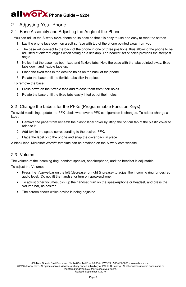## 2 Adjusting Your Phone

## 2.1 Base Assembly and Adjusting the Angle of the Phone

You can adjust the Allworx 9224 phone on its base so that it is easy to use and easy to read the screen.

- 1. Lay the phone face down on a soft surface with top of the phone pointed away from you.
- 2. The base will connect to the back of the phone in one of three positions, thus allowing the phone to be adjusted at different angles when sitting on a desktop. The nearest set of holes provides the steepest angle.
- 3. Notice that the base has both fixed and flexible tabs. Hold the base with the tabs pointed away, fixed tabs down and flexible tabs up.
- 4. Place the fixed tabs in the desired holes on the back of the phone.
- 5. Rotate the base until the flexible tabs click into place.

To remove the base:

- 1. Press down on the flexible tabs and release them from their holes.
- 2. Rotate the base until the fixed tabs easily lifted out of their holes.

## 2.2 Change the Labels for the PFKs (Programmable Function Keys)

To avoid misdialing, update the PFK labels whenever a PFK configuration is changed. To add or change a label:

- 1. Remove the paper from beneath the plastic label cover by lifting the bottom tab of the plastic cover to release it.
- 2. Add text in the space corresponding to the desired PFK.
- 3. Place the label onto the phone and snap the cover back in place.

A blank label Microsoft Word™ template can be obtained on the Allworx.com website.

### 2.3 Volume

The volume of the incoming ring, handset speaker, speakerphone, and the headset is adjustable.

To adjust the Volume:

- Press the *Volume* bar on the left (decrease) or right (increase) to adjust the incoming ring for desired audio level. Do not lift the handset or turn on speakerphone.
- To adjust other volumes, pick up the handset, turn on the speakerphone or headset, and press the Volume bar, as desired.
- The screen shows which device is being adjusted.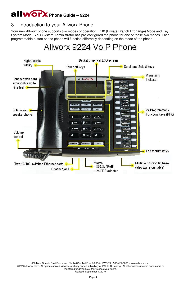## 3 Introduction to your Allworx Phone

Your new Allworx phone supports two modes of operation: PBX (Private Branch Exchange) Mode and Key System Mode. Your System Administrator has pre-configured the phone for one of these two modes. Each programmable button on the phone will function differently depending on the mode of the phone.

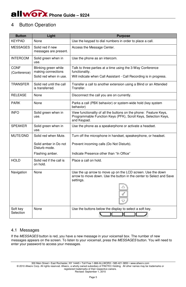## 4 Button Operation

| <b>Button</b>         | Light                                        | <b>Purpose</b>                                                                                                                                     |
|-----------------------|----------------------------------------------|----------------------------------------------------------------------------------------------------------------------------------------------------|
| <b>KEYPAD</b>         | None                                         | Use the keypad to dial numbers in order to place a call.                                                                                           |
| <b>MESSAGES</b>       | Solid red if new<br>messages are present.    | Access the Message Center.                                                                                                                         |
| <b>INTERCOM</b>       | Solid green when in<br>use.                  | Use the phone as an intercom.                                                                                                                      |
| CONF                  | Blinking green while                         | Talk to three parties at a time using the 3-Way Conference                                                                                         |
| (Conference)          | making connections<br>Solid red when in use. | functionality.<br>Will indicate when Call Assistant - Call Recording is in progress.                                                               |
| <b>TRANSFER</b>       | Solid red until the call<br>is transferred.  | Transfer a call to another extension using a Blind or an Attended<br>Transfer.                                                                     |
| <b>RELEASE</b>        | None                                         | Disconnect the call you are on currently.                                                                                                          |
| <b>PARK</b>           | None                                         | Parks a call (PBX behavior) or system-wide hold (key system<br>behavior)                                                                           |
| <b>INFO</b>           | Solid green when in<br>use.                  | View functionality of all the buttons on the phone: Feature Keys,<br>Programmable Function Keys (PFK), Scroll Keys, Selection Keys,<br>and Keypad. |
| <b>SPEAKER</b>        | Solid green when in<br>use.                  | Use the phone as a speakerphone or activate a headset.                                                                                             |
| MUTE/DND              | Solid red when Mute.                         | Turn off the microphone in handset, speakerphone, or headset.                                                                                      |
|                       | Solid amber in Do not<br>Disturb mode.       | Prevent incoming calls (Do Not Disturb).                                                                                                           |
|                       | Flashing amber.                              | Indicate Presence other than "In Office"                                                                                                           |
| <b>HOLD</b>           | Solid red if the call is<br>on hold.         | Place a call on hold.                                                                                                                              |
| Navigation            | None                                         | Use the up arrow to move up on the LCD screen. Use the down<br>arrow to move down. Use the button in the center to Select and Save<br>settings.    |
|                       |                                              |                                                                                                                                                    |
| Soft key<br>Selection | None                                         | Use the buttons below the display to select a soft key.                                                                                            |
|                       |                                              |                                                                                                                                                    |

### 4.1 Messages

If the *MESSAGES* button is red, you have a new message in your voicemail box. The number of new messages appears on the screen. To listen to your voicemail, press the *MESSAGES* button. You will need to enter your password to access your messages.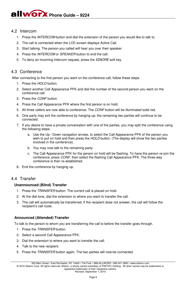#### 4.2 Intercom

- 1. Press the *INTERCOM* button and dial the extension of the person you would like to talk to.
- 2. The call is connected when the LCD screen displays Active Call.
- 3. Start talking. The person you called will hear you over their speaker.
- 4. Press the *INTERCOM* or *SPEAKER* button to end the call.
- 5. To deny an incoming Intercom request, press the *IGNORE* soft key.

### 4.3 Conference

After connecting to the first person you want on the conference call, follow these steps:

- 1. Press the *HOLD* button.
- 2. Select another Call Appearance PFK and dial the number of the second person you want on the conference call.
- 3. Press the *CONF* button.
- 4. Press the Call Appearance PFK where the first person is on hold.
- 5. All three callers are now able to conference. The *CONF* button will be illuminated solid red.
- 6. One party may exit the conference by hanging up; the remaining two parties will continue to be connected.
- 7. If you desire to have a private conversation with one of the parties, you may split the conference using the following steps:
	- a. Use the Up / Down navigation arrows, to select the Call Appearance PFK of the person you wish to put on hold and then press the *HOLD* button. (The display will show the two parties involved in the conference).
	- b. You may now talk to the remaining party.
	- c. The Call Appearance PFK for the person on hold will be flashing. To have the person re-join the conference, press *CONF*, then select the flashing Call Appearance PFK. The three-way conference is then re-established.
- 8. End the conference by hanging up.

### 4.4 Transfer

#### **Unannounced (Blind) Transfer**

- 1. Press the *TRANSFER* button. The current call is placed on hold.
- 2. At the dial tone, dial the extension to where you want to transfer the call.
- 3. The call will automatically be transferred. If the recipient does not answer, the call will follow the recipient's call route.

### **Announced (Attended) Transfer**

To talk to the person to whom you are transferring the call to before the transfer goes through.

- 1. Press the *TRANSFER* button.
- 2. Select a second Call Appearance PFK.
- 3. Dial the extension to where you want to transfer the call.
- 4. Talk to the new recipient.
- 5. Press the *TRANSFER* button again. The two parties will now be connected.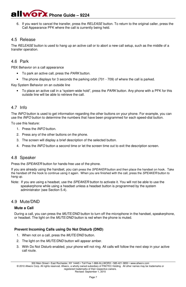6. If you want to cancel the transfer, press the *RELEASE* button. To return to the original caller, press the Call Appearance PFK where the call is currently being held.

## 4.5 Release

The *RELEASE* button is used to hang up an active call or to abort a new call setup, such as the middle of a transfer operation.

### 4.6 Park

PBX Behavior on a call appearance

- To park an active call, press the *PARK* button.
- The phone displays for 3 seconds the parking orbit (701 709) of where the call is parked.

Key System Behavior on an outside line

• To place an active call in a "system-wide hold", press the *PARK* button. Any phone with a PFK for this outside line will be able to retrieve the call.

### 4.7 Info

The *INFO* button is used to get information regarding the other buttons on your phone. For example, you can use the *INFO* button to determine the numbers that have been programmed for each speed-dial button.

To use this feature:

- 1. Press the *INFO* button.
- 2. Press any of the other buttons on the phone.
- 3. The screen will display a brief description of the selected button.
- 4. Press the *INFO* button a second time or let the screen time out to exit the description screen.

#### 4.8 Speaker

Press the *SPEAKER* button for hands-free use of the phone.

If you are already using the handset, you can press the *SPEAKER* button and then place the handset on hook. Take the handset off the hook to continue using it again. When you are finished with the call, press the *SPEAKER* button to hang up.

Note: If you are using a headset, use the *SPEAKER* button to activate it. You will not be able to use the speakerphone while using a headset unless a headset button is programmed by the system administrator (see Section 5.4).

#### 4.9 Mute/DND

#### **Mute a Call**

During a call, you can press the *MUTE/DND* button to turn off the microphone in the handset, speakerphone, or headset. The light on the *MUTE/DND* button is red when the phone is muted.

#### **Prevent Incoming Calls using Do Not Disturb (DND)**

- 1. When not on a call, press the *MUTE/DND* button.
- 2. The light on the *MUTE/DND* button will appear amber.
- 3. With Do Not Disturb enabled, your phone will not ring. All calls will follow the next step in your active call route.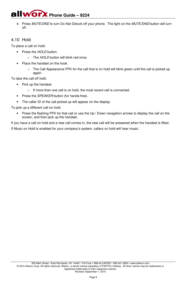4. Press *MUTE/DND* to turn Do Not Disturb off your phone. The light on the *MUTE/DND* button will turn off.

## 4.10 Hold

To place a call on hold:

- Press the *HOI* D button.
	- o The *HOLD* button will blink red once.
- Place the handset on the hook.
	- o The Call Appearance PFK for the call that is on hold will blink green until the call is picked up again.

To take the call off hold:

- Pick up the handset.
	- o If more than one call is on hold, the most recent call is connected.
- Press the *SPEAKER* button (for hands-free).
- The caller ID of the call picked up will appear on the display.

To pick up a different call on hold:

• Press the flashing PFK for that call or use the Up / Down navigation arrows to display the call on the screen, and then pick up the handset.

If you have a call on hold and a new call comes in, the new call will be answered when the handset is lifted. If Music on Hold is enabled for your company's system, callers on hold will hear music.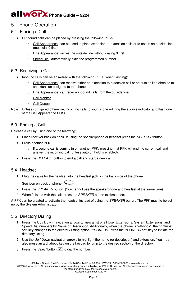## 5 Phone Operation

- 5.1 Placing a Call
	- Outbound calls can be placed by pressing the following PFKs:
		- Call Appearance: can be used to place extension-to-extension calls or to obtain an outside line (must dial 9 first).
		- $\circ$  Line Appearance: seizes the outside line without dialing 9 first.
		- o Speed Dial: automatically dials the programmed number

### 5.2 Receiving a Call

- Inbound calls can be answered with the following PFKs (when flashing):
	- Call Appearance: can receive either an extension-to-extension call or an outside line directed to an extension assigned to the phone.
	- o Line Appearance: can receive inbound calls from the outside line.
	- o Call Monitor
	- o Call Queue
- Note: Unless configured otherwise, incoming calls to your phone will ring the audible indicator and flash one of the Call Appearance PFKs.

## 5.3 Ending a Call

Release a call by using one of the following:

- Place receiver back on hook. If using the speakerphone or headset press the *SPEAKER* button.
- Press another PFK.
	- $\circ$  If a second call is coming in on another PFK, pressing that PFK will end the current call and answer the incoming call (unless auto on hold is enabled).
- Press the *RELEASE* button to end a call and start a new call.

### 5.4 Headset

1. Plug the cable for the headset into the headset jack on the back side of the phone.

See icon on back of phone:

- 2. Press the *SPEAKER* button. (You cannot use the speakerphone and headset at the same time).
- 3. When finished with the call, press the *SPEAKER* button to disconnect.

A PFK can be created to activate the headset instead of using the *SPEAKER* button. The PFK must to be set up by the System Administrator.

## 5.5 Directory Dialing

- 1. Press the Up / Down navigation arrows to view a list of all User Extensions, System Extensions, and Speed Dial numbers by Name or Description. Additionally, when the phone is "off-hook", the rightmost soft key changes to the directory listing option: *PHONEBK*. Press the PHONEBK soft key to initiate the directory listing.
- 2. Use the Up / Down navigation arrows to highlight the name (or description) and extension. You may also press an alphabetic key on the keypad to jump to the desired section of the directory.
- 3. Press the *Select* button **1** to dial the number.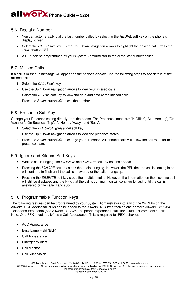#### 5.6 Redial a Number

- You can automatically dial the last number called by selecting the *REDIAL* soft key on the phone's display screen,.
- Select the *CALLS* soft key. Us the Up / Down navigation arrows to highlight the desired call. Press the *Select* button  $\boxed{\angle}$ .
- A PFK can be programmed by your System Administrator to redial the last number called.

## 5.7 Missed Calls

If a call is missed, a message will appear on the phone's display. Use the following steps to see details of the missed calls:

- 1. Select the *CALLS* soft key.
- 2. Use the Up / Down navigation arrows to view your missed calls.
- 3. Select the *DETAIL* soft key to view the date and time of the missed calls.
- 4. Press the *Select* button **1** to call the number.

## 5.8 Presence Soft Key

Change your Presence setting directly from the phone. The Presence states are: 'In Office', 'At a Meeting', 'On Vacation', 'On Business Trip', 'At Home', 'Away', and 'Busy'.

- 1. Select the *PRESNCE (presence)* soft key.
- 2. Use the Up / Down navigation arrows to view the presence states.
- 3. Press the *Select* button **1** to change your presence. All inbound calls will follow the call route for this presence state.

#### 5.9 Ignore and Silence Soft Keys

- While a call is ringing, the *SILENCE* and *IGNORE* soft key options appear.
- Pressing the *IGNORE* soft key stops the audible ringing. However, the PFK that the call is coming in on will continue to flash until the call is answered or the caller hangs up.
- Pressing the *SILENCE* soft key stops the audible ringing. However, the information on the incoming call will still be displayed and the PFK that the call is coming in on will continue to flash until the call is answered or the caller hangs up.

## 5.10 Programmable Function Keys

The following features can be programmed by your System Administrator into any of the 24 PFKs on the Allworx 9224. Additional PFKs can be added to the Allworx 9224 by attaching one or more Allworx Tx 92/24 Telephone Expanders (see Allworx Tx 92/24 Telephone Expander Installation Guide for complete details). Note: One PFK should be left as a Call Appearance. This is required for PBX behavior.

- ACD Appearance
- Busy Lamp Field (BLF)
- Call Appearance
- **Emergency Alert**
- **Call Monitor**
- Call Supervision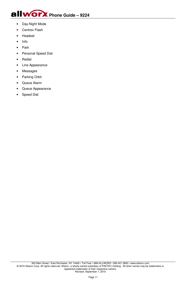

- Day-Night Mode
- Centrex Flash
- Headset
- Info
- Park
- Personal Speed Dial
- **Redial**
- Line Appearance
- Messages
- Parking Orbit
- Queue Alarm
- Queue Appearance
- Speed Dial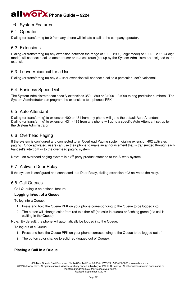## 6 System Features

## 6.1 Operator

Dialing (or transferring to) 0 from any phone will initiate a call to the company operator.

### 6.2 Extensions

Dialing (or transferring to) any extension between the range of 100 – 299 (3 digit mode) or 1000 – 2999 (4 digit mode) will connect a call to another user or to a call route (set up by the System Administrator) assigned to the extension.

## 6.3 Leave Voicemail for a User

Dialing (or transferring to) any 3 + user extension will connect a call to a particular user's voicemail.

### 6.4 Business Speed Dial

The System Administrator can specify extensions 350 – 399 or 34000 – 34999 to ring particular numbers. The System Administrator can program the extensions to a phone's PFK.

### 6.5 Auto Attendant

Dialing (or transferring) to extension 400 or 431 from any phone will go to the default Auto Attendant. Dialing (or transferring) to extension 431 - 439 from any phone will go to a specific Auto Attendant set up by the System Administrator.

## 6.6 Overhead Paging

If the system is configured and connected to an Overhead Paging system, dialing extension 402 activates paging. Once activated, users can use their phone to make an announcement that is transmitted through each handset's intercom or to the overhead paging system.

Note: An overhead paging system is a  $3<sup>rd</sup>$  party product attached to the Allworx system.

#### 6.7 Activate Door Relay

If the system is configured and connected to a Door Relay, dialing extension 403 activates the relay.

#### 6.8 Call Queues

Call Queuing is an optional feature.

#### **Logging in/out of a Queue**

To log into a Queue:

- 1. Press and hold the Queue PFK on your phone corresponding to the Queue to be logged into.
- 2. The button will change color from red to either off (no calls in queue) or flashing green (if a call is waiting in the Queue).

Note: By default, the phone will automatically be logged into the Queue.

To log out of a Queue:

- 1. Press and hold the Queue PFK on your phone corresponding to the Queue to be logged out of.
- 2. The button color change to solid red (logged out of Queue).

#### **Placing a Call in a Queue**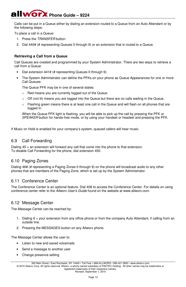Calls can be put in a Queue either by dialing an extension routed to a Queue from an Auto Attendant or by the following steps:

To place a call in a Queue:

- 1. Press the *TRANSFER* button.
- 2. Dial 440# (# representing Queues 0 through 9) or an extension that is routed to a Queue.

#### **Retrieving a Call from a Queue**

Call Queues are created and programmed by your System Administrator. There are two ways to retrieve a call from a Queue:

- Dial extension 441# (# representing Queues 0 through 9).
- The System Administrator can define the PFKs on your phone as Queue Appearances for one or more Call Queues:

The Queue PFK may be in one of several states:

- o Red means you are currently logged out of the Queue.
- $\circ$  Off (not lit) means you are logged into the Queue but there are no calls waiting in the Queue.
- $\circ$  Flashing green means there is at least one call in the Queue and will flash on all phones that are logged in.

When the Queue PFK light is flashing, you will be able to pick up the call by pressing the PFK or *SPEAKER* button for hands-free mode, or by using your handset or headset and pressing the PFK.

If Music on Hold is enabled for your company's system, queued callers will hear music.

#### 6.9 Call Forwarding

Dialing 45 + an extension will forward any call that come into the phone to that extension. To disable Call Forwarding for the phone, dial extension 450.

#### 6.10 Paging Zones

Dialing 46# (# representing a Paging Zones 0 through 9) on the phone will broadcast audio to any other phones that are members of the Paging Zone, which is set up by the System Administrator.

#### 6.11 Conference Center

The Conference Center is an optional feature. Dial 408 to access the Conference Center. For details on using conference center refer to the *Allworx User's Guide* found on the website at www.allworx.com.

#### 6.12 Message Center

The Message Center can be reached by:

- 1. Dialing 6 + your extension from any office phone or from the company Auto Attendant, if calling from an outside line.
- 2. Pressing the MESSAGES button on any Allworx phone.

The Message Center allows the user to:

- Listen to new and saved voicemails
- Send a message to another user
- Change presence setting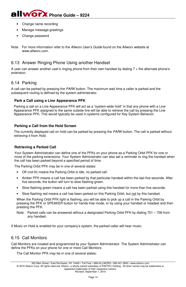- Change name recording
- Manage message greetings
- Change password

Note: For more information refer to the *Allworx User's Guide* found on the Allworx website at www.allworx.com

#### 6.13 Answer Ringing Phone Using another Handset

A user can answer another user's ringing phone from their own handset by dialing 7 + the alternate phone's extension.

### 6.14 Parking

A call can be parked by pressing the *PARK* button. The maximum wait time a caller is parked and the subsequent routing is defined by the system administrator.

#### **Park a Call using a Line Appearance PFK**

Parking a call on a Line Appearance PFK will act as a "system-wide hold" in that any phone with a Line Appearance PFK assigned to the same outside line will be able to retrieve the call by pressing the Line Appearance PFK. This would typically be used in systems configured for Key System Behavior.

#### **Parking a Call from the Hold Screen**

The currently displayed call on hold can be parked by pressing the *PARK* button. The call is parked without retrieving it from Hold.

#### **Retrieving a Parked Call**

Your System Administrator can define one of the PFKs on your phone as a Parking Orbit PFK for one or more of the parking extensions. Your System Administrator can also set a reminder to ring the handset when the call has been parked beyond a specified period of time.

The Parking Orbit PFK may be in one of several states:

- Off (not lit) means the Parking Orbit is idle, no parked call.
- Amber PFK means a call has been parked by that particular handset within the last five seconds. After five seconds, the button will turn to slow flashing green.
- Slow flashing green means a call has been parked using this handset for more than five seconds.
- Slow flashing red means a call has been parked on this Parking Orbit, but not by this handset.

When the Parking Orbit PFK light is flashing, you will be able to pick up a call in the Parking Orbit by pressing the PFK or SPEAKER button for hands-free mode, or by using your handset or headset and then pressing the PFK.

Note: Parked calls can be answered without a designated Parking Orbit PFK by dialing 701 – 709 from any handset.

If Music on Hold is enabled for your company's system, the parked caller will hear music.

### 6.15 Call Monitors

Call Monitors are created and programmed by your System Administrator. The System Administrator can define the PFKs on your phone for one or more Call Monitors.

The Call Monitor PFK may be in one of several states: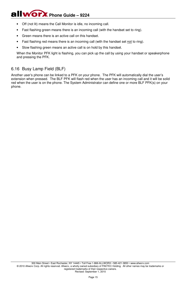- Off (not lit) means the Call Monitor is idle, no incoming call.
- Fast flashing green means there is an incoming call (with the handset set to ring).
- Green means there is an active call on this handset.
- Fast flashing red means there is an incoming call (with the handset set not to ring).
- Slow flashing green means an active call is on hold by this handset.

When the Monitor PFK light is flashing, you can pick up the call by using your handset or speakerphone and pressing the PFK.

## 6.16 Busy Lamp Field (BLF)

Another user's phone can be linked to a PFK on your phone. The PFK will automatically dial the user's extension when pressed. The BLF PFK will flash red when the user has an incoming call and it will be solid red when the user is on the phone. The System Administrator can define one or more BLF PFK(s) on your phone.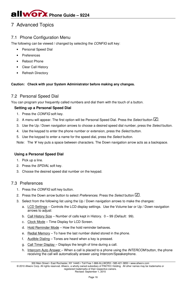# 7 Advanced Topics

## 7.1 Phone Configuration Menu

The following can be viewed / changed by selecting the *CONFIG* soft key:

- Personal Speed Dial
- **Preferences**
- Reboot Phone
- Clear Call History
- **Refresh Directory**

#### **Caution: Check with your System Administrator before making any changes.**

## 7.2 Personal Speed Dial

You can program your frequently called numbers and dial them with the touch of a button.

#### **Setting up a Personal Speed Dial**

- 1. Press the *CONFIG* soft key.
- 2. A menu will appear. The first option will be Personal Speed Dial. Press the *Select* button  $\Box$ .
- 3. Use the Up / Down navigation arrows to choose a desired speed dial number, press the *Select* button.
- 4. Use the keypad to enter the phone number or extension, press the *Select* button.
- 5. Use the keypad to enter a name for the speed dial, press the *Select* button.

Note: The '#' key puts a space between characters. The Down navigation arrow acts as a backspace.

#### **Using a Personal Speed Dial**

- 1. Pick up a line.
- 2. Press the *SPDIAL* soft key.
- 3. Choose the desired speed dial number on the keypad.

### 7.3 Preferences

- 1. Press the *CONFIG* soft key button.
- 2. Press the Down arrow button to select *Preferences*. Press the *Select* button  $\boxed{1}$ .
- 3. Select from the following list using the Up / Down navigation arrows to make the changes:
	- a. LCD Settings Controls the LCD display settings. Use the Volume bar or Up / Down navigation arrows to adjust:
	- b. Call History Size Number of calls kept in History. 0 99 (Default: 99).
	- c. Clock Mode Time Display for LCD Screen.
	- d. Hold Reminder Mode How the hold reminder behaves.
	- e. Redial Memory To have the last number dialed stored in the phone.
	- f. Audible Dialing Tones are heard when a key is pressed.
	- g. Call Timer Display Displays the length of time during a call.
	- h. Intercom Auto Answer When a call is placed to a phone using the *INTERCOM* button, the phone receiving the call will automatically answer using Intercom/Speakerphone.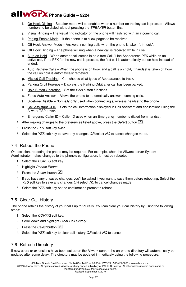- i. On Hook Dialing Speaker mode will be enabled when a number on the keypad is pressed. Allows numbers to be dialed without pressing the *SPEAKER* button first.
- j. Visual Ringing The visual ring indicator on the phone will flash red with an incoming call.
- k. Paging Enable Mode If the phone is to allow pages to be received.
- l. Off Hook Answer Mode Answers incoming calls when the phone is taken "off-hook".
- m. Off Hook Ringing The phone will ring when a new call is received while in use.
- n. Auto on Hold When another call comes in on a free Call / Line Appearance PFK while on an active call, if the PFK for the new call is pressed, the first call is automatically put on hold instead of ended.
- o. Auto Retrieve Calls When the phone is on hook and a call is on hold, if handset is taken off hook, the call on hold is automatically retrieved.
- p. Missed Call Tracking Can choose what types of Appearances to track.
- q. Parking Orbit Pop-ups Displays the Parking Orbit after call has been parked.
- r. Hold Button Operation Set the *Hold* button functions.
- s. Force Auto Answer Allows the phone to automatically answer incoming calls.
- t. Sidetone Disable Normally only used when connecting a wireless headset to the phone.
- u. Call Assistant CLID Sets the call information displayed in Call Assistant and applications using the Allworx TSP driver.
- v. Emergency Caller ID Caller ID used when an Emergency number is dialed from handset.
- 4. After making changes to the preferences listed above, press the *Select* button .
- 5. Press the *EXIT* soft key twice.
- 6. Select the *YES* soft key to save any changes *OR* select *NO* to cancel changes made.

## 7.4 Reboot the Phone

On occasion, rebooting the phone may be required. For example, when the Allworx server System Administrator makes changes to the phone's configuration, it must be rebooted.

- 1. Select the *CONFIG* soft key.
- 2. Highlight *Reboot Phone*.
- 3. Press the *Select* button  $\boxed{\mathbb{Z}}$ .
- 4. If you have any unsaved changes, you'll be asked if you want to save them before rebooting. Select the *YES* soft key to save any changes *OR* select *NO* to cancel changes made.
- 5. Select the *YES* soft key on the confirmation prompt to reboot.

## 7.5 Clear Call History

The phone retains the history of your calls up to 99 calls. You can clear your call history by using the following steps:

- 1. Select the *CONFIG* soft key.
- 2. Scroll down and highlight *Clear Call History*.
- 3. Press the *Select* button 1.
- 4. Select the *YES* soft key to clear call history *OR* select *NO* to cancel.

## 7.6 Refresh Directory

If new users or extensions have been set up on the Allworx server, the on-phone directory will automatically be updated after some delay. The directory may be updated immediately using the following procedure: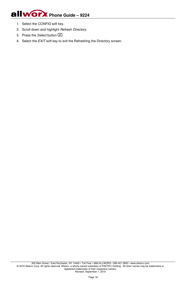- 1. Select the *CONFIG* soft key.
- 2. Scroll down and highlight *Refresh Directory*.
- 3. Press the *Select* button  $\Box$ .
- 4. Select the *EXIT* soft key to exit the Refreshing the Directory screen.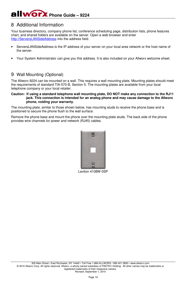## 8 Additional Information

Your business directory, company phone list, conference scheduling page, distribution lists, phone features chart, and shared folders are available on the server. Open a web browser and enter http://ServersLANSideAddress into the address field.

- ServersLANSideAddress is the IP address of your server on your local area network or the host name of the server.
- Your System Administrator can give you this address. It is also included on your Allworx welcome sheet.

## 9 Wall Mounting (Optional)

The Allworx 9224 can be mounted on a wall. This requires a wall mounting plate. Mounting plates should meet the requirements of standard TIA-570-B, Section 5. The mounting plates are available from your local telephone company or your local retailer.

#### **Caution: If using a standard telephone wall mounting plate, DO NOT make any connection to the RJ11 jack. This connection is intended for an analog phone and may cause damage to the Allworx phone, voiding your warranty.**

The mounting plate, similar to those shown below, has mounting studs to receive the phone base and is positioned to secure the phone flush to the wall surface.

Remove the phone base and mount the phone over the mounting plate studs. The back side of the phone provides wire channels for power and network (RJ45) cables.



Leviton 4108W-0SP